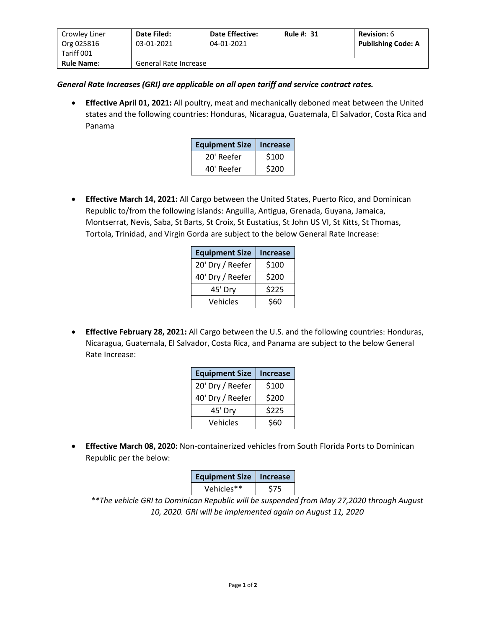| Crowley Liner<br>Org 025816<br>Tariff 001 | Date Filed:<br>03-01-2021 | <b>Date Effective:</b><br>04-01-2021 | <b>Rule #: 31</b> | <b>Revision: 6</b><br><b>Publishing Code: A</b> |
|-------------------------------------------|---------------------------|--------------------------------------|-------------------|-------------------------------------------------|
| <b>Rule Name:</b>                         | General Rate Increase     |                                      |                   |                                                 |

*General Rate Increases (GRI) are applicable on all open tariff and service contract rates.*

• **Effective April 01, 2021:** All poultry, meat and mechanically deboned meat between the United states and the following countries: Honduras, Nicaragua, Guatemala, El Salvador, Costa Rica and Panama

| <b>Equipment Size</b> | Increase |  |
|-----------------------|----------|--|
| 20' Reefer            | \$100    |  |
| 40' Reefer            | \$200    |  |

• **Effective March 14, 2021:** All Cargo between the United States, Puerto Rico, and Dominican Republic to/from the following islands: Anguilla, Antigua, Grenada, Guyana, Jamaica, Montserrat, Nevis, Saba, St Barts, St Croix, St Eustatius, St John US VI, St Kitts, St Thomas, Tortola, Trinidad, and Virgin Gorda are subject to the below General Rate Increase:

| <b>Equipment Size</b> | <b>Increase</b> |
|-----------------------|-----------------|
| 20' Dry / Reefer      | \$100           |
| 40' Dry / Reefer      | \$200           |
| 45' Dry               | \$225           |
| Vehicles              | \$60            |

• **Effective February 28, 2021:** All Cargo between the U.S. and the following countries: Honduras, Nicaragua, Guatemala, El Salvador, Costa Rica, and Panama are subject to the below General Rate Increase:

| <b>Equipment Size</b> | <b>Increase</b> |  |
|-----------------------|-----------------|--|
| 20' Dry / Reefer      | \$100           |  |
| 40' Dry / Reefer      | \$200           |  |
| 45' Dry               | \$225           |  |
| Vehicles              | \$60            |  |

• **Effective March 08, 2020:** Non-containerized vehicles from South Florida Ports to Dominican Republic per the below:

| <b>Equipment Size</b> | <b>Increase</b> |  |
|-----------------------|-----------------|--|
| Vehicles**            | S75             |  |

*\*\*The vehicle GRI to Dominican Republic will be suspended from May 27,2020 through August 10, 2020. GRI will be implemented again on August 11, 2020*